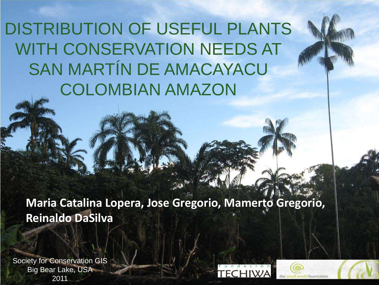DISTRIBUTION OF USEFUL PLANTS WITH CONSERVATION NEEDS AT SAN MARTÍN DE AMACAYACU COLOMBIAN AMAZON

**Maria Catalina Lopera, Jose Gregorio, Mamerto Gregorio, Reinaldo DaSilva**

Society for Conservation GIS Big Bear Lake, USA 2011



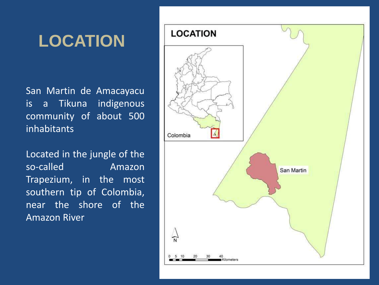# **LOCATION**

San Martin de Amacayacu is a Tikuna indigenous community of about 500 inhabitants

Located in the jungle of the so-called Amazon Trapezium, in the most southern tip of Colombia, near the shore of the Amazon River

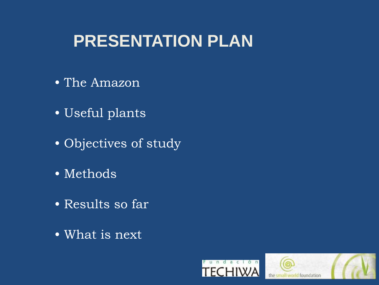# **PRESENTATION PLAN**

- The Amazon
- Useful plants
- Objectives of study
- Methods
- Results so far
- What is next

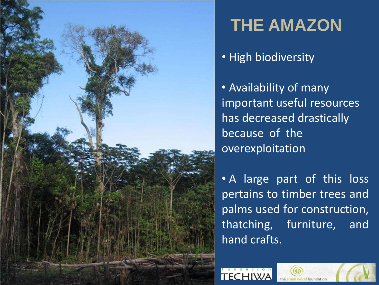

# **THE AMAZON**

• High biodiversity

• Availability of many important useful resources has decreased drastically because of the overexploitation

• A large part of this loss pertains to timber trees and palms used for construction, thatching, furniture, and hand crafts.



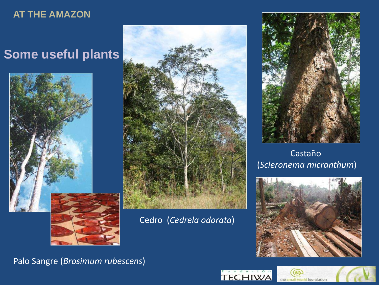#### **AT THE AMAZON**

## **Some useful plants**





Cedro (*Cedrela odorata*)



#### Castaño (*Scleronema micranthum*)



#### Palo Sangre (*Brosimum rubescens*)



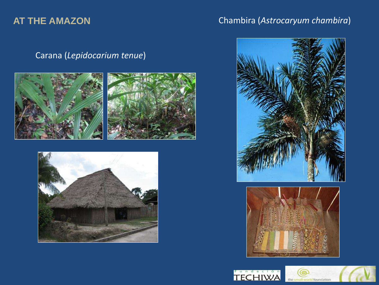#### **AT THE AMAZON** Chambira (*Astrocaryum chambira*)

Carana (*Lepidocarium tenue*)













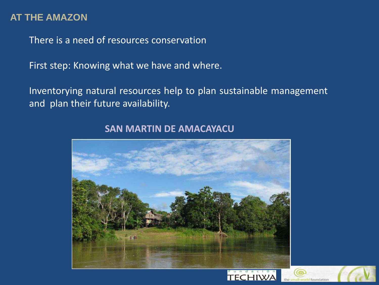#### **AT THE AMAZON**

There is a need of resources conservation

First step: Knowing what we have and where.

Inventorying natural resources help to plan sustainable management and plan their future availability.



#### **SAN MARTIN DE AMACAYACU**





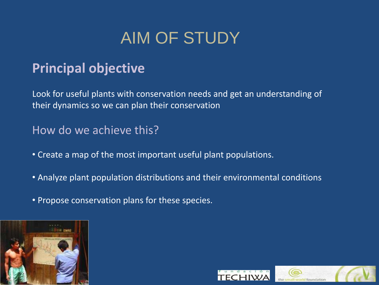## AIM OF STUDY

## **Principal objective**

Look for useful plants with conservation needs and get an understanding of their dynamics so we can plan their conservation

### How do we achieve this?

- Create a map of the most important useful plant populations.
- Analyze plant population distributions and their environmental conditions
- Propose conservation plans for these species.